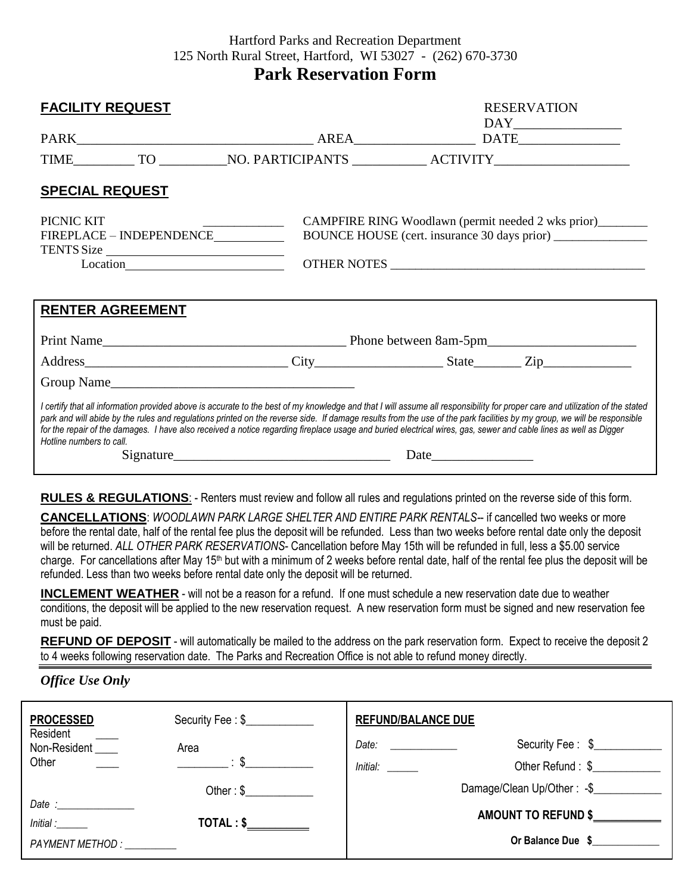## Hartford Parks and Recreation Department 125 North Rural Street, Hartford, WI 53027 - (262) 670-3730

# **Park Reservation Form**

| <b>FACILITY REQUEST</b>                                                                                                                                                                                                                                                                                                                                                                                                                                                                                                                                  |                                                                                                                                                                                                                                                                                                           |  | <b>RESERVATION</b>                                                                                                                                                                                                                                                                                                                                                      |  |
|----------------------------------------------------------------------------------------------------------------------------------------------------------------------------------------------------------------------------------------------------------------------------------------------------------------------------------------------------------------------------------------------------------------------------------------------------------------------------------------------------------------------------------------------------------|-----------------------------------------------------------------------------------------------------------------------------------------------------------------------------------------------------------------------------------------------------------------------------------------------------------|--|-------------------------------------------------------------------------------------------------------------------------------------------------------------------------------------------------------------------------------------------------------------------------------------------------------------------------------------------------------------------------|--|
|                                                                                                                                                                                                                                                                                                                                                                                                                                                                                                                                                          |                                                                                                                                                                                                                                                                                                           |  | $\begin{picture}(150,10) \put(0,0){\dashbox{0.5}(10,0){ }} \put(15,0){\dashbox{0.5}(10,0){ }} \put(15,0){\dashbox{0.5}(10,0){ }} \put(15,0){\dashbox{0.5}(10,0){ }} \put(15,0){\dashbox{0.5}(10,0){ }} \put(15,0){\dashbox{0.5}(10,0){ }} \put(15,0){\dashbox{0.5}(10,0){ }} \put(15,0){\dashbox{0.5}(10,0){ }} \put(15,0){\dashbox{0.5}(10,0){ }} \put(15,0){\dashbox$ |  |
|                                                                                                                                                                                                                                                                                                                                                                                                                                                                                                                                                          |                                                                                                                                                                                                                                                                                                           |  |                                                                                                                                                                                                                                                                                                                                                                         |  |
| <b>SPECIAL REQUEST</b>                                                                                                                                                                                                                                                                                                                                                                                                                                                                                                                                   |                                                                                                                                                                                                                                                                                                           |  |                                                                                                                                                                                                                                                                                                                                                                         |  |
| PICNIC KIT<br>FIREPLACE - INDEPENDENCE<br>TENTS Size                                                                                                                                                                                                                                                                                                                                                                                                                                                                                                     | CAMPFIRE RING Woodlawn (permit needed 2 wks prior)_______<br><u> 1986 - Jan Barbara, martin a shekara 1986 - An tsa a tsa a tsa a tsa a tsa a tsa a tsa a tsa a tsa a tsa a t</u><br>OTHER NOTES                                                                                                          |  |                                                                                                                                                                                                                                                                                                                                                                         |  |
| <b>RENTER AGREEMENT</b>                                                                                                                                                                                                                                                                                                                                                                                                                                                                                                                                  |                                                                                                                                                                                                                                                                                                           |  |                                                                                                                                                                                                                                                                                                                                                                         |  |
|                                                                                                                                                                                                                                                                                                                                                                                                                                                                                                                                                          |                                                                                                                                                                                                                                                                                                           |  |                                                                                                                                                                                                                                                                                                                                                                         |  |
|                                                                                                                                                                                                                                                                                                                                                                                                                                                                                                                                                          |                                                                                                                                                                                                                                                                                                           |  |                                                                                                                                                                                                                                                                                                                                                                         |  |
|                                                                                                                                                                                                                                                                                                                                                                                                                                                                                                                                                          |                                                                                                                                                                                                                                                                                                           |  |                                                                                                                                                                                                                                                                                                                                                                         |  |
| I certify that all information provided above is accurate to the best of my knowledge and that I will assume all responsibility for proper care and utilization of the stated<br>park and will abide by the rules and regulations printed on the reverse side. If damage results from the use of the park facilities by my group, we will be responsible<br>for the repair of the damages. I have also received a notice regarding fireplace usage and buried electrical wires, gas, sewer and cable lines as well as Digger<br>Hotline numbers to call. |                                                                                                                                                                                                                                                                                                           |  |                                                                                                                                                                                                                                                                                                                                                                         |  |
|                                                                                                                                                                                                                                                                                                                                                                                                                                                                                                                                                          | $Sigma$ = $\frac{1}{2}$ = $\frac{1}{2}$ = $\frac{1}{2}$ = $\frac{1}{2}$ = $\frac{1}{2}$ = $\frac{1}{2}$ = $\frac{1}{2}$ = $\frac{1}{2}$ = $\frac{1}{2}$ = $\frac{1}{2}$ = $\frac{1}{2}$ = $\frac{1}{2}$ = $\frac{1}{2}$ = $\frac{1}{2}$ = $\frac{1}{2}$ = $\frac{1}{2}$ = $\frac{1}{2}$ = $\frac{1}{2}$ = |  |                                                                                                                                                                                                                                                                                                                                                                         |  |

**RULES & REGULATIONS**: - Renters must review and follow all rules and regulations printed on the reverse side of this form.

**CANCELLATIONS**: *WOODLAWN PARK LARGE SHELTER AND ENTIRE PARK RENTALS-*- if cancelled two weeks or more before the rental date, half of the rental fee plus the deposit will be refunded. Less than two weeks before rental date only the deposit will be returned. *ALL OTHER PARK RESERVATIONS*- Cancellation before May 15th will be refunded in full, less a \$5.00 service charge. For cancellations after May 15<sup>th</sup> but with a minimum of 2 weeks before rental date, half of the rental fee plus the deposit will be refunded. Less than two weeks before rental date only the deposit will be returned.

**INCLEMENT WEATHER** - will not be a reason for a refund. If one must schedule a new reservation date due to weather conditions, the deposit will be applied to the new reservation request. A new reservation form must be signed and new reservation fee must be paid.

**REFUND OF DEPOSIT** - will automatically be mailed to the address on the park reservation form. Expect to receive the deposit 2 to 4 weeks following reservation date. The Parks and Recreation Office is not able to refund money directly.

### *Office Use Only*

| <b>PROCESSED</b>                                                                                                                                                                                                                                   | Security Fee: \$                | <b>REFUND/BALANCE DUE</b>                                                                                                                                                                                                     |                            |
|----------------------------------------------------------------------------------------------------------------------------------------------------------------------------------------------------------------------------------------------------|---------------------------------|-------------------------------------------------------------------------------------------------------------------------------------------------------------------------------------------------------------------------------|----------------------------|
| Resident<br>Non-Resident                                                                                                                                                                                                                           | Area                            | Date: will be a series of the contract of the contract of the contract of the contract of the contract of the contract of the contract of the contract of the contract of the contract of the contract of the contract of the | Security Fee: \$           |
| Other                                                                                                                                                                                                                                              | $\mathfrak{g}$ : $\mathfrak{g}$ | <i>Initial:</i>                                                                                                                                                                                                               | Other Refund: \$           |
|                                                                                                                                                                                                                                                    | Other: \$                       |                                                                                                                                                                                                                               | Damage/Clean Up/Other: -\$ |
| Date: the contract of the contract of the contract of the contract of the contract of the contract of the contract of the contract of the contract of the contract of the contract of the contract of the contract of the cont<br><i>Initial :</i> | $\mathsf{TOTAL}: \$             | AMOUNT TO REFUND \$                                                                                                                                                                                                           |                            |
| PAYMENT METHOD :                                                                                                                                                                                                                                   |                                 | Or Balance Due \$                                                                                                                                                                                                             |                            |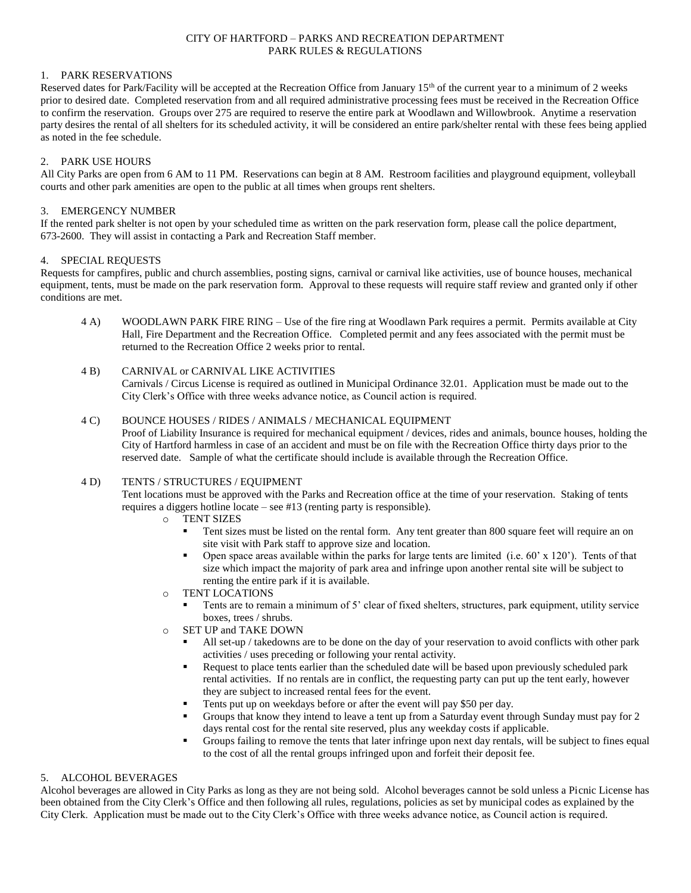### CITY OF HARTFORD – PARKS AND RECREATION DEPARTMENT PARK RULES & REGULATIONS

### 1. PARK RESERVATIONS

Reserved dates for Park/Facility will be accepted at the Recreation Office from January 15th of the current year to a minimum of 2 weeks prior to desired date. Completed reservation from and all required administrative processing fees must be received in the Recreation Office to confirm the reservation. Groups over 275 are required to reserve the entire park at Woodlawn and Willowbrook. Anytime a reservation party desires the rental of all shelters for its scheduled activity, it will be considered an entire park/shelter rental with these fees being applied as noted in the fee schedule.

### 2. PARK USE HOURS

All City Parks are open from 6 AM to 11 PM. Reservations can begin at 8 AM. Restroom facilities and playground equipment, volleyball courts and other park amenities are open to the public at all times when groups rent shelters.

### 3. EMERGENCY NUMBER

If the rented park shelter is not open by your scheduled time as written on the park reservation form, please call the police department, 673-2600. They will assist in contacting a Park and Recreation Staff member.

### 4. SPECIAL REQUESTS

Requests for campfires, public and church assemblies, posting signs, carnival or carnival like activities, use of bounce houses, mechanical equipment, tents, must be made on the park reservation form. Approval to these requests will require staff review and granted only if other conditions are met.

4 A) WOODLAWN PARK FIRE RING – Use of the fire ring at Woodlawn Park requires a permit. Permits available at City Hall, Fire Department and the Recreation Office. Completed permit and any fees associated with the permit must be returned to the Recreation Office 2 weeks prior to rental.

### 4 B) CARNIVAL or CARNIVAL LIKE ACTIVITIES

Carnivals / Circus License is required as outlined in Municipal Ordinance 32.01. Application must be made out to the City Clerk's Office with three weeks advance notice, as Council action is required.

### 4 C) BOUNCE HOUSES / RIDES / ANIMALS / MECHANICAL EQUIPMENT

Proof of Liability Insurance is required for mechanical equipment / devices, rides and animals, bounce houses, holding the City of Hartford harmless in case of an accident and must be on file with the Recreation Office thirty days prior to the reserved date. Sample of what the certificate should include is available through the Recreation Office.

### 4 D) TENTS / STRUCTURES / EQUIPMENT

Tent locations must be approved with the Parks and Recreation office at the time of your reservation. Staking of tents requires a diggers hotline locate – see #13 (renting party is responsible).

- o TENT SIZES
	- Tent sizes must be listed on the rental form. Any tent greater than 800 square feet will require an on site visit with Park staff to approve size and location.
	- Open space areas available within the parks for large tents are limited (i.e. 60' x 120'). Tents of that size which impact the majority of park area and infringe upon another rental site will be subject to renting the entire park if it is available.
- o TENT LOCATIONS
	- Tents are to remain a minimum of 5' clear of fixed shelters, structures, park equipment, utility service boxes, trees / shrubs.
- o SET UP and TAKE DOWN
	- All set-up / takedowns are to be done on the day of your reservation to avoid conflicts with other park activities / uses preceding or following your rental activity.
	- Request to place tents earlier than the scheduled date will be based upon previously scheduled park rental activities. If no rentals are in conflict, the requesting party can put up the tent early, however they are subject to increased rental fees for the event.
	- Tents put up on weekdays before or after the event will pay \$50 per day.
	- Groups that know they intend to leave a tent up from a Saturday event through Sunday must pay for 2 days rental cost for the rental site reserved, plus any weekday costs if applicable.
	- Groups failing to remove the tents that later infringe upon next day rentals, will be subject to fines equal to the cost of all the rental groups infringed upon and forfeit their deposit fee.

### 5. ALCOHOL BEVERAGES

Alcohol beverages are allowed in City Parks as long as they are not being sold. Alcohol beverages cannot be sold unless a Picnic License has been obtained from the City Clerk's Office and then following all rules, regulations, policies as set by municipal codes as explained by the City Clerk. Application must be made out to the City Clerk's Office with three weeks advance notice, as Council action is required.